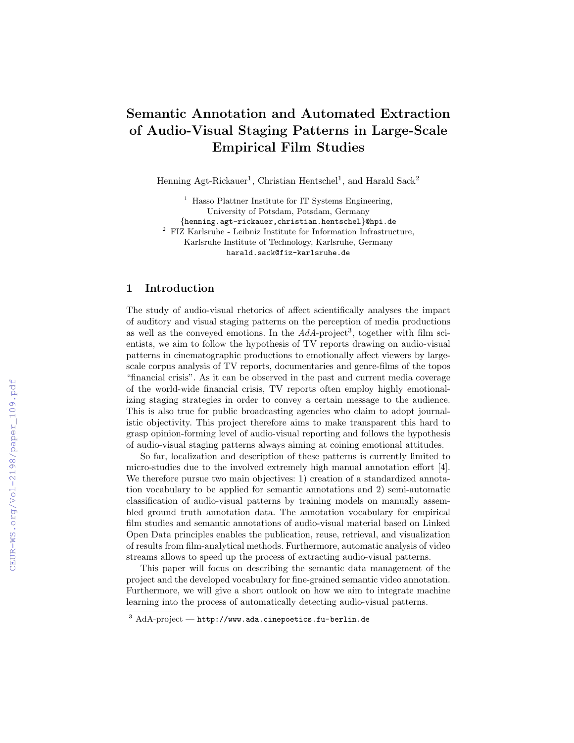# Semantic Annotation and Automated Extraction of Audio-Visual Staging Patterns in Large-Scale Empirical Film Studies

Henning Agt-Rickauer<sup>1</sup>, Christian Hentschel<sup>1</sup>, and Harald Sack<sup>2</sup>

<sup>1</sup> Hasso Plattner Institute for IT Systems Engineering, University of Potsdam, Potsdam, Germany {henning.agt-rickauer,christian.hentschel}@hpi.de  $^{\rm 2}$  FIZ Karlsruhe - Leibniz Institute for Information Infrastructure, Karlsruhe Institute of Technology, Karlsruhe, Germany

harald.sack@fiz-karlsruhe.de

## 1 Introduction

The study of audio-visual rhetorics of affect scientifically analyses the impact of auditory and visual staging patterns on the perception of media productions as well as the conveyed emotions. In the  $AdA$ -project<sup>3</sup>, together with film scientists, we aim to follow the hypothesis of TV reports drawing on audio-visual patterns in cinematographic productions to emotionally affect viewers by largescale corpus analysis of TV reports, documentaries and genre-films of the topos "financial crisis". As it can be observed in the past and current media coverage of the world-wide financial crisis, TV reports often employ highly emotionalizing staging strategies in order to convey a certain message to the audience. This is also true for public broadcasting agencies who claim to adopt journalistic objectivity. This project therefore aims to make transparent this hard to grasp opinion-forming level of audio-visual reporting and follows the hypothesis of audio-visual staging patterns always aiming at coining emotional attitudes.

So far, localization and description of these patterns is currently limited to micro-studies due to the involved extremely high manual annotation effort [4]. We therefore pursue two main objectives: 1) creation of a standardized annotation vocabulary to be applied for semantic annotations and 2) semi-automatic classification of audio-visual patterns by training models on manually assembled ground truth annotation data. The annotation vocabulary for empirical film studies and semantic annotations of audio-visual material based on Linked Open Data principles enables the publication, reuse, retrieval, and visualization of results from film-analytical methods. Furthermore, automatic analysis of video streams allows to speed up the process of extracting audio-visual patterns.

This paper will focus on describing the semantic data management of the project and the developed vocabulary for fine-grained semantic video annotation. Furthermore, we will give a short outlook on how we aim to integrate machine learning into the process of automatically detecting audio-visual patterns.

 $3$  AdA-project — http://www.ada.cinepoetics.fu-berlin.de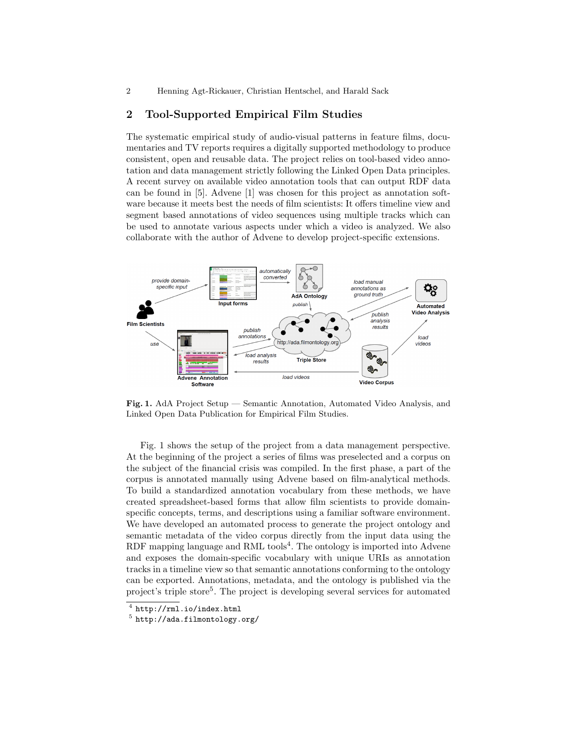2 Henning Agt-Rickauer, Christian Hentschel, and Harald Sack

### 2 Tool-Supported Empirical Film Studies

The systematic empirical study of audio-visual patterns in feature films, documentaries and TV reports requires a digitally supported methodology to produce consistent, open and reusable data. The project relies on tool-based video annotation and data management strictly following the Linked Open Data principles. A recent survey on available video annotation tools that can output RDF data can be found in [5]. Advene [1] was chosen for this project as annotation software because it meets best the needs of film scientists: It offers timeline view and segment based annotations of video sequences using multiple tracks which can be used to annotate various aspects under which a video is analyzed. We also collaborate with the author of Advene to develop project-specific extensions.



Fig. 1. AdA Project Setup — Semantic Annotation, Automated Video Analysis, and Linked Open Data Publication for Empirical Film Studies.

Fig. 1 shows the setup of the project from a data management perspective. At the beginning of the project a series of films was preselected and a corpus on the subject of the financial crisis was compiled. In the first phase, a part of the corpus is annotated manually using Advene based on film-analytical methods. To build a standardized annotation vocabulary from these methods, we have created spreadsheet-based forms that allow film scientists to provide domainspecific concepts, terms, and descriptions using a familiar software environment. We have developed an automated process to generate the project ontology and semantic metadata of the video corpus directly from the input data using the RDF mapping language and RML tools<sup>4</sup>. The ontology is imported into Advene and exposes the domain-specific vocabulary with unique URIs as annotation tracks in a timeline view so that semantic annotations conforming to the ontology can be exported. Annotations, metadata, and the ontology is published via the project's triple store<sup>5</sup>. The project is developing several services for automated

 $<sup>4</sup>$  http://rml.io/index.html</sup>

<sup>&</sup>lt;sup>5</sup> http://ada.filmontology.org/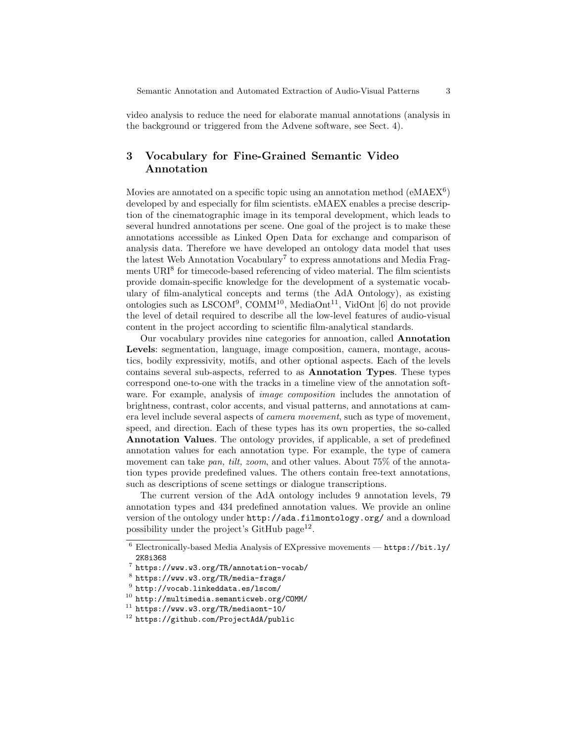video analysis to reduce the need for elaborate manual annotations (analysis in the background or triggered from the Advene software, see Sect. 4).

## 3 Vocabulary for Fine-Grained Semantic Video Annotation

Movies are annotated on a specific topic using an annotation method  $(eMAEX^6)$ developed by and especially for film scientists. eMAEX enables a precise description of the cinematographic image in its temporal development, which leads to several hundred annotations per scene. One goal of the project is to make these annotations accessible as Linked Open Data for exchange and comparison of analysis data. Therefore we have developed an ontology data model that uses the latest Web Annotation Vocabulary<sup>7</sup> to express annotations and Media Fragments URI<sup>8</sup> for timecode-based referencing of video material. The film scientists provide domain-specific knowledge for the development of a systematic vocabulary of film-analytical concepts and terms (the AdA Ontology), as existing ontologies such as LSCOM<sup>9</sup>, COMM<sup>10</sup>, MediaOnt<sup>11</sup>, VidOnt [6] do not provide the level of detail required to describe all the low-level features of audio-visual content in the project according to scientific film-analytical standards.

Our vocabulary provides nine categories for annoation, called Annotation Levels: segmentation, language, image composition, camera, montage, acoustics, bodily expressivity, motifs, and other optional aspects. Each of the levels contains several sub-aspects, referred to as Annotation Types. These types correspond one-to-one with the tracks in a timeline view of the annotation software. For example, analysis of *image composition* includes the annotation of brightness, contrast, color accents, and visual patterns, and annotations at camera level include several aspects of camera movement, such as type of movement, speed, and direction. Each of these types has its own properties, the so-called Annotation Values. The ontology provides, if applicable, a set of predefined annotation values for each annotation type. For example, the type of camera movement can take pan, tilt, zoom, and other values. About 75% of the annotation types provide predefined values. The others contain free-text annotations, such as descriptions of scene settings or dialogue transcriptions.

The current version of the AdA ontology includes 9 annotation levels, 79 annotation types and 434 predefined annotation values. We provide an online version of the ontology under http://ada.filmontology.org/ and a download possibility under the project's GitHub page<sup>12</sup>.

 $11$  https://www.w3.org/TR/mediaont-10/

 $^6$  Electronically-based Media Analysis of EXpressive movements —  $\verb|https://bit.ly/|$ 2K8i368

<sup>7</sup> https://www.w3.org/TR/annotation-vocab/

 $^8$  https://www.w3.org/TR/media-frags/

 $^9$  http://vocab.linkeddata.es/lscom/

 $10$  http://multimedia.semanticweb.org/COMM/

<sup>12</sup> https://github.com/ProjectAdA/public